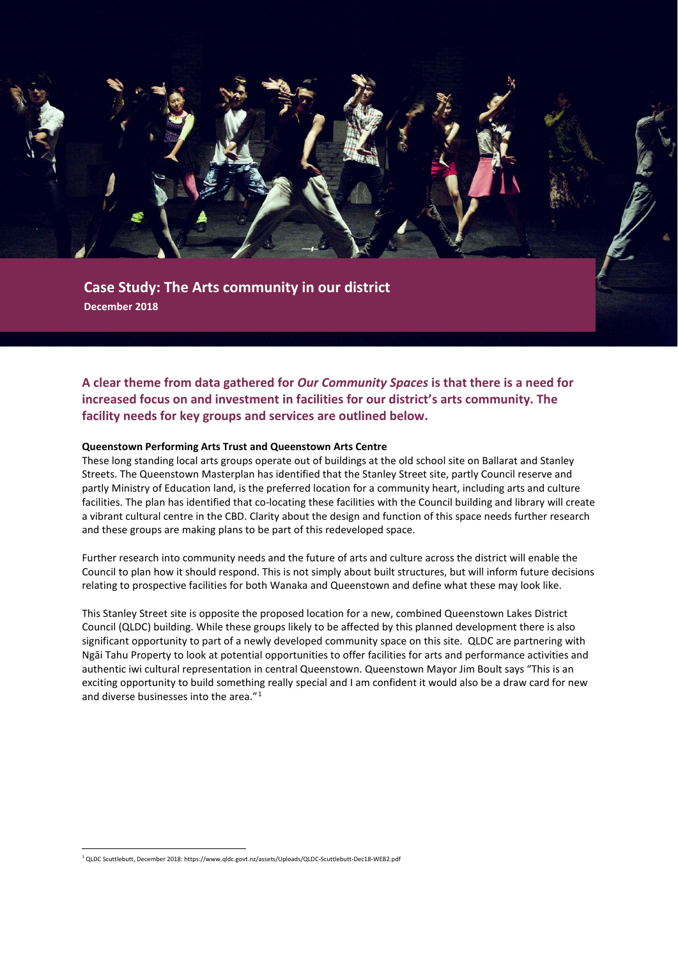

**December 2018**

**A clear theme from data gathered for** *Our Community Spaces* **is that there is a need for increased focus on and investment in facilities for our district's arts community. The facility needs for key groups and services are outlined below.**

#### **Queenstown Performing Arts Trust and Queenstown Arts Centre**

These long standing local arts groups operate out of buildings at the old school site on Ballarat and Stanley Streets. The Queenstown Masterplan has identified that the Stanley Street site, partly Council reserve and partly Ministry of Education land, is the preferred location for a community heart, including arts and culture facilities. The plan has identified that co-locating these facilities with the Council building and library will create a vibrant cultural centre in the CBD. Clarity about the design and function of this space needs further research and these groups are making plans to be part of this redeveloped space.

Further research into community needs and the future of arts and culture across the district will enable the Council to plan how it should respond. This is not simply about built structures, but will inform future decisions relating to prospective facilities for both Wanaka and Queenstown and define what these may look like.

This Stanley Street site is opposite the proposed location for a new, combined Queenstown Lakes District Council (QLDC) building. While these groups likely to be affected by this planned development there is also significant opportunity to part of a newly developed community space on this site. QLDC are partnering with Ngāi Tahu Property to look at potential opportunities to offer facilities for arts and performance activities and authentic iwi cultural representation in central Queenstown. Queenstown Mayor Jim Boult says "This is an exciting opportunity to build something really special and I am confident it would also be a draw card for new and diverse businesses into the area."[1](#page-0-0)

<span id="page-0-0"></span> <sup>1</sup> QLDC Scuttlebutt, December 2018: https://www.qldc.govt.nz/assets/Uploads/QLDC-Scuttlebutt-Dec18-WEB2.pdf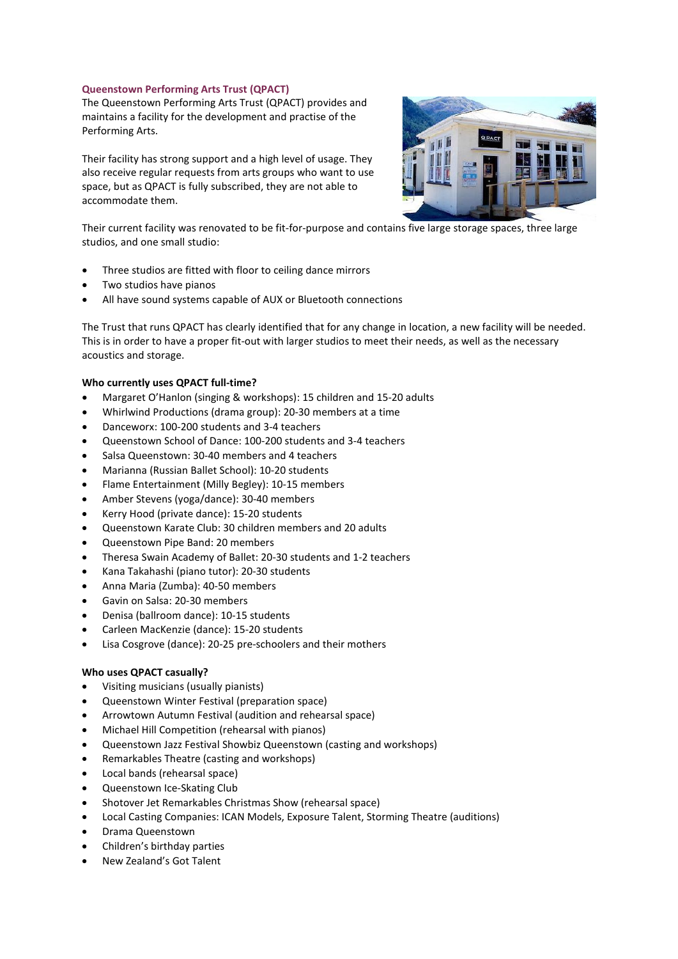# **Queenstown Performing Arts Trust (QPACT)**

The Queenstown Performing Arts Trust (QPACT) provides and maintains a facility for the development and practise of the Performing Arts.

Their facility has strong support and a high level of usage. They also receive regular requests from arts groups who want to use space, but as QPACT is fully subscribed, they are not able to accommodate them.



Their current facility was renovated to be fit-for-purpose and contains five large storage spaces, three large studios, and one small studio:

- Three studios are fitted with floor to ceiling dance mirrors
- Two studios have pianos
- All have sound systems capable of AUX or Bluetooth connections

The Trust that runs QPACT has clearly identified that for any change in location, a new facility will be needed. This is in order to have a proper fit-out with larger studios to meet their needs, as well as the necessary acoustics and storage.

# **Who currently uses QPACT full-time?**

- Margaret O'Hanlon (singing & workshops): 15 children and 15-20 adults
- Whirlwind Productions (drama group): 20-30 members at a time
- Danceworx: 100-200 students and 3-4 teachers
- Queenstown School of Dance: 100-200 students and 3-4 teachers
- Salsa Queenstown: 30-40 members and 4 teachers
- Marianna (Russian Ballet School): 10-20 students
- Flame Entertainment (Milly Begley): 10-15 members
- Amber Stevens (yoga/dance): 30-40 members
- Kerry Hood (private dance): 15-20 students
- Queenstown Karate Club: 30 children members and 20 adults
- Queenstown Pipe Band: 20 members
- Theresa Swain Academy of Ballet: 20-30 students and 1-2 teachers
- Kana Takahashi (piano tutor): 20-30 students
- Anna Maria (Zumba): 40-50 members
- Gavin on Salsa: 20-30 members
- Denisa (ballroom dance): 10-15 students
- Carleen MacKenzie (dance): 15-20 students
- Lisa Cosgrove (dance): 20-25 pre-schoolers and their mothers

# **Who uses QPACT casually?**

- Visiting musicians (usually pianists)
- Queenstown Winter Festival (preparation space)
- Arrowtown Autumn Festival (audition and rehearsal space)
- Michael Hill Competition (rehearsal with pianos)
- Queenstown Jazz Festival Showbiz Queenstown (casting and workshops)
- Remarkables Theatre (casting and workshops)
- Local bands (rehearsal space)
- Queenstown Ice-Skating Club
- Shotover Jet Remarkables Christmas Show (rehearsal space)
- Local Casting Companies: ICAN Models, Exposure Talent, Storming Theatre (auditions)
- Drama Queenstown
- Children's birthday parties
- New Zealand's Got Talent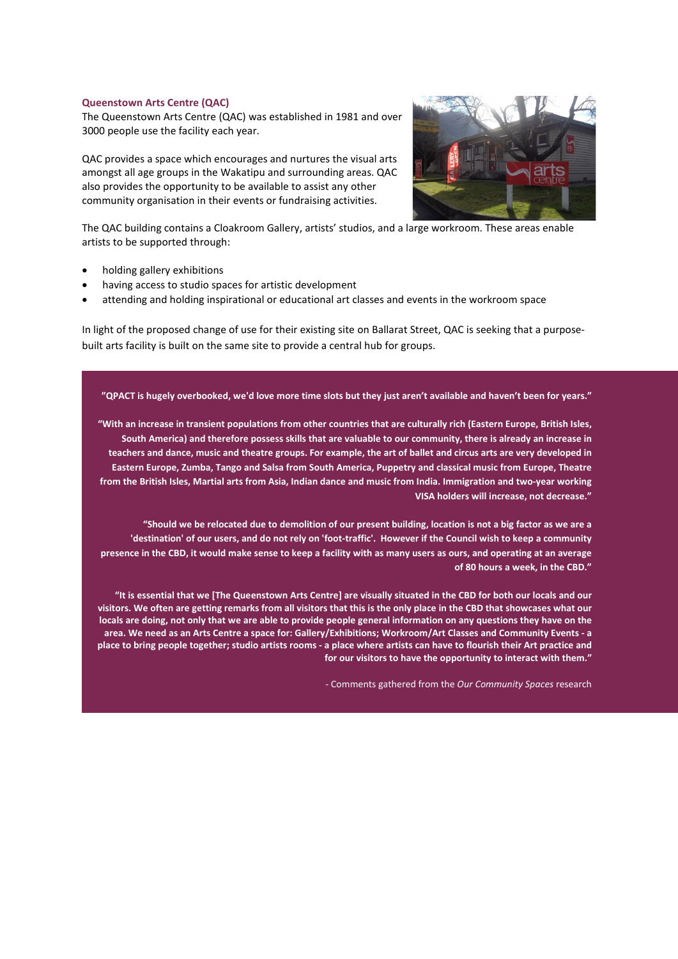## **Queenstown Arts Centre (QAC)**

The Queenstown Arts Centre (QAC) was established in 1981 and over 3000 people use the facility each year.

QAC provides a space which encourages and nurtures the visual arts amongst all age groups in the Wakatipu and surrounding areas. QAC also provides the opportunity to be available to assist any other community organisation in their events or fundraising activities.



The QAC building contains a Cloakroom Gallery, artists' studios, and a large workroom. These areas enable artists to be supported through:

- holding gallery exhibitions
- having access to studio spaces for artistic development
- attending and holding inspirational or educational art classes and events in the workroom space

In light of the proposed change of use for their existing site on Ballarat Street, QAC is seeking that a purposebuilt arts facility is built on the same site to provide a central hub for groups.

## **"QPACT is hugely overbooked, we'd love more time slots but they just aren't available and haven't been for years."**

**"With an increase in transient populations from other countries that are culturally rich (Eastern Europe, British Isles, South America) and therefore possess skills that are valuable to our community, there is already an increase in teachers and dance, music and theatre groups. For example, the art of ballet and circus arts are very developed in Eastern Europe, Zumba, Tango and Salsa from South America, Puppetry and classical music from Europe, Theatre from the British Isles, Martial arts from Asia, Indian dance and music from India. Immigration and two-year working VISA holders will increase, not decrease."** 

**"Should we be relocated due to demolition of our present building, location is not a big factor as we are a 'destination' of our users, and do not rely on 'foot-traffic'. However if the Council wish to keep a community presence in the CBD, it would make sense to keep a facility with as many users as ours, and operating at an average of 80 hours a week, in the CBD."**

**"It is essential that we [The Queenstown Arts Centre] are visually situated in the CBD for both our locals and our visitors. We often are getting remarks from all visitors that this is the only place in the CBD that showcases what our locals are doing, not only that we are able to provide people general information on any questions they have on the area. We need as an Arts Centre a space for: Gallery/Exhibitions; Workroom/Art Classes and Community Events - a place to bring people together; studio artists rooms - a place where artists can have to flourish their Art practice and for our visitors to have the opportunity to interact with them."**

- Comments gathered from the *Our Community Spaces* research